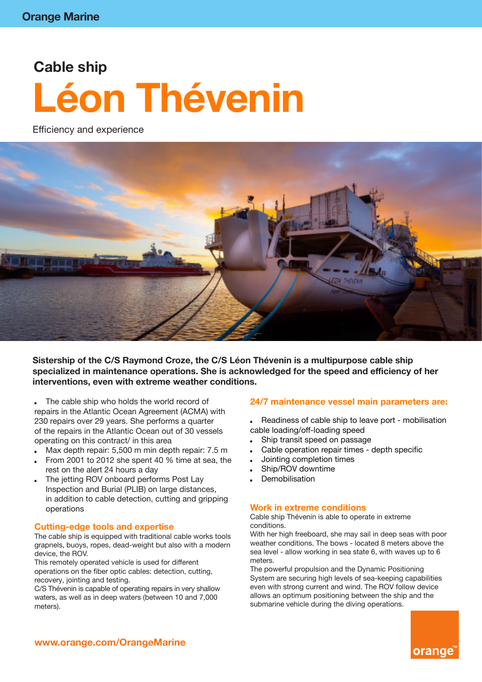# **Cable ship Léon Thévenin**

Efficiency and experience



**Sistership of the C/S Raymond Croze, the C/S Léon Thévenin is a multipurpose cable ship specialized in maintenance operations. She is acknowledged for the speed and efficiency of her interventions, even with extreme weather conditions.**

- The cable ship who holds the world record of repairs in the Atlantic Ocean Agreement (ACMA) with 230 repairs over 29 years. She performs a quarter of the repairs in the Atlantic Ocean out of 30 vessels operating on this contract/ in this area
- Max depth repair: 5,500 m min depth repair: 7.5 m
- From 2001 to 2012 she spent 40 % time at sea, the rest on the alert 24 hours a day
- The jetting ROV onboard performs Post Lay Inspection and Burial (PLIB) on large distances, in addition to cable detection, cutting and gripping operations

#### **Cutting-edge tools and expertise**

The cable ship is equipped with traditional cable works tools grapnels, buoys, ropes, dead-weight but also with a modern device, the ROV.

This remotely operated vehicle is used for different operations on the fiber optic cables: detection, cutting, recovery, jointing and testing.

C/S Thévenin is capable of operating repairs in very shallow waters, as well as in deep waters (between 10 and 7,000 meters).

#### **24/7 maintenance vessel main parameters are:**

- Readiness of cable ship to leave port mobilisation cable loading/off-loading speed
- Ship transit speed on passage
- Cable operation repair times depth specific
- Jointing completion times
- Ship/ROV downtime
- **Demobilisation**

#### **Work in extreme conditions**

Cable ship Thévenin is able to operate in extreme conditions.

With her high freeboard, she may sail in deep seas with poor weather conditions. The bows - located 8 meters above the sea level - allow working in sea state 6, with waves up to 6 meters.

The powerful propulsion and the Dynamic Positioning System are securing high levels of sea-keeping capabilities even with strong current and wind. The ROV follow device allows an optimum positioning between the ship and the submarine vehicle during the diving operations.

orange